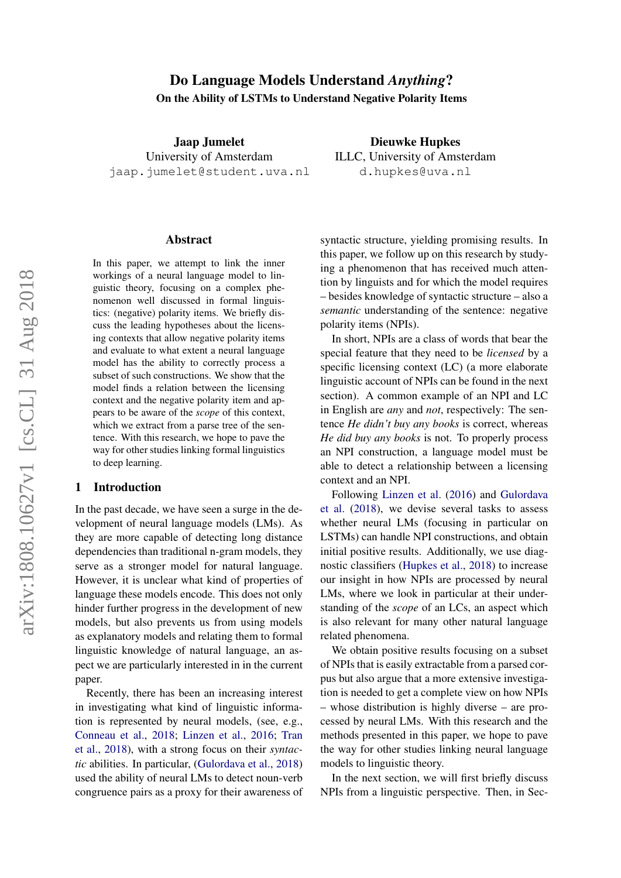# Do Language Models Understand *Anything*? On the Ability of LSTMs to Understand Negative Polarity Items

Jaap Jumelet University of Amsterdam jaap.jumelet@student.uva.nl

#### Abstract

In this paper, we attempt to link the inner workings of a neural language model to linguistic theory, focusing on a complex phenomenon well discussed in formal linguistics: (negative) polarity items. We briefly discuss the leading hypotheses about the licensing contexts that allow negative polarity items and evaluate to what extent a neural language model has the ability to correctly process a subset of such constructions. We show that the model finds a relation between the licensing context and the negative polarity item and appears to be aware of the *scope* of this context, which we extract from a parse tree of the sentence. With this research, we hope to pave the way for other studies linking formal linguistics to deep learning.

#### 1 Introduction

In the past decade, we have seen a surge in the development of neural language models (LMs). As they are more capable of detecting long distance dependencies than traditional n-gram models, they serve as a stronger model for natural language. However, it is unclear what kind of properties of language these models encode. This does not only hinder further progress in the development of new models, but also prevents us from using models as explanatory models and relating them to formal linguistic knowledge of natural language, an aspect we are particularly interested in in the current paper.

Recently, there has been an increasing interest in investigating what kind of linguistic information is represented by neural models, (see, e.g., [Conneau et al.,](#page-8-0) [2018;](#page-8-0) [Linzen et al.,](#page-9-0) [2016;](#page-9-0) [Tran](#page-9-1) [et al.,](#page-9-1) [2018\)](#page-9-1), with a strong focus on their *syntactic* abilities. In particular, [\(Gulordava et al.,](#page-8-1) [2018\)](#page-8-1) used the ability of neural LMs to detect noun-verb congruence pairs as a proxy for their awareness of

syntactic structure, yielding promising results. In this paper, we follow up on this research by studying a phenomenon that has received much attention by linguists and for which the model requires – besides knowledge of syntactic structure – also a *semantic* understanding of the sentence: negative

polarity items (NPIs). In short, NPIs are a class of words that bear the special feature that they need to be *licensed* by a specific licensing context (LC) (a more elaborate linguistic account of NPIs can be found in the next section). A common example of an NPI and LC in English are *any* and *not*, respectively: The sentence *He didn't buy any books* is correct, whereas *He did buy any books* is not. To properly process an NPI construction, a language model must be able to detect a relationship between a licensing context and an NPI.

Following [Linzen et al.](#page-9-0) [\(2016\)](#page-9-0) and [Gulordava](#page-8-1) [et al.](#page-8-1) [\(2018\)](#page-8-1), we devise several tasks to assess whether neural LMs (focusing in particular on LSTMs) can handle NPI constructions, and obtain initial positive results. Additionally, we use diagnostic classifiers [\(Hupkes et al.,](#page-8-2) [2018\)](#page-8-2) to increase our insight in how NPIs are processed by neural LMs, where we look in particular at their understanding of the *scope* of an LCs, an aspect which is also relevant for many other natural language related phenomena.

We obtain positive results focusing on a subset of NPIs that is easily extractable from a parsed corpus but also argue that a more extensive investigation is needed to get a complete view on how NPIs – whose distribution is highly diverse – are processed by neural LMs. With this research and the methods presented in this paper, we hope to pave the way for other studies linking neural language models to linguistic theory.

In the next section, we will first briefly discuss NPIs from a linguistic perspective. Then, in Sec-

Dieuwke Hupkes ILLC, University of Amsterdam d.hupkes@uva.nl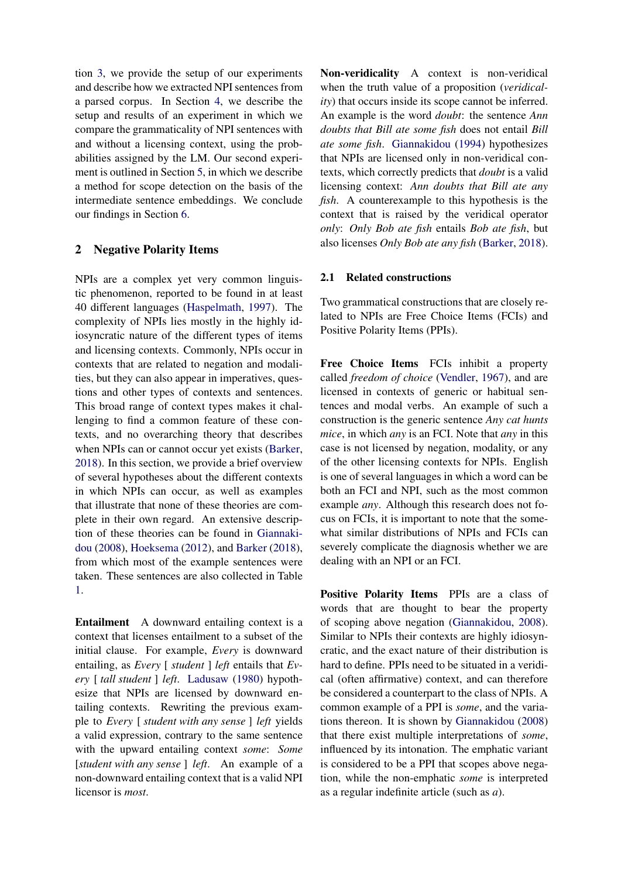tion [3,](#page-2-0) we provide the setup of our experiments and describe how we extracted NPI sentences from a parsed corpus. In Section [4,](#page-2-1) we describe the setup and results of an experiment in which we compare the grammaticality of NPI sentences with and without a licensing context, using the probabilities assigned by the LM. Our second experiment is outlined in Section [5,](#page-6-0) in which we describe a method for scope detection on the basis of the intermediate sentence embeddings. We conclude our findings in Section [6.](#page-7-0)

# <span id="page-1-0"></span>2 Negative Polarity Items

NPIs are a complex yet very common linguistic phenomenon, reported to be found in at least 40 different languages [\(Haspelmath,](#page-8-3) [1997\)](#page-8-3). The complexity of NPIs lies mostly in the highly idiosyncratic nature of the different types of items and licensing contexts. Commonly, NPIs occur in contexts that are related to negation and modalities, but they can also appear in imperatives, questions and other types of contexts and sentences. This broad range of context types makes it challenging to find a common feature of these contexts, and no overarching theory that describes when NPIs can or cannot occur yet exists [\(Barker,](#page-8-4) [2018\)](#page-8-4). In this section, we provide a brief overview of several hypotheses about the different contexts in which NPIs can occur, as well as examples that illustrate that none of these theories are complete in their own regard. An extensive description of these theories can be found in [Giannaki](#page-8-5)[dou](#page-8-5) [\(2008\)](#page-8-5), [Hoeksema](#page-8-6) [\(2012\)](#page-8-6), and [Barker](#page-8-4) [\(2018\)](#page-8-4), from which most of the example sentences were taken. These sentences are also collected in Table [1.](#page-2-2)

Entailment A downward entailing context is a context that licenses entailment to a subset of the initial clause. For example, *Every* is downward entailing, as *Every* [ *student* ] *left* entails that *Every* [ *tall student* ] *left*. [Ladusaw](#page-9-2) [\(1980\)](#page-9-2) hypothesize that NPIs are licensed by downward entailing contexts. Rewriting the previous example to *Every* [ *student with any sense* ] *left* yields a valid expression, contrary to the same sentence with the upward entailing context *some*: *Some* [*student with any sense* ] *left*. An example of a non-downward entailing context that is a valid NPI licensor is *most*.

Non-veridicality A context is non-veridical when the truth value of a proposition (*veridicality*) that occurs inside its scope cannot be inferred. An example is the word *doubt*: the sentence *Ann doubts that Bill ate some fish* does not entail *Bill ate some fish*. [Giannakidou](#page-8-7) [\(1994\)](#page-8-7) hypothesizes that NPIs are licensed only in non-veridical contexts, which correctly predicts that *doubt* is a valid licensing context: *Ann doubts that Bill ate any fish*. A counterexample to this hypothesis is the context that is raised by the veridical operator *only*: *Only Bob ate fish* entails *Bob ate fish*, but also licenses *Only Bob ate any fish* [\(Barker,](#page-8-4) [2018\)](#page-8-4).

#### 2.1 Related constructions

Two grammatical constructions that are closely related to NPIs are Free Choice Items (FCIs) and Positive Polarity Items (PPIs).

Free Choice Items FCIs inhibit a property called *freedom of choice* [\(Vendler,](#page-9-3) [1967\)](#page-9-3), and are licensed in contexts of generic or habitual sentences and modal verbs. An example of such a construction is the generic sentence *Any cat hunts mice*, in which *any* is an FCI. Note that *any* in this case is not licensed by negation, modality, or any of the other licensing contexts for NPIs. English is one of several languages in which a word can be both an FCI and NPI, such as the most common example *any*. Although this research does not focus on FCIs, it is important to note that the somewhat similar distributions of NPIs and FCIs can severely complicate the diagnosis whether we are dealing with an NPI or an FCI.

Positive Polarity Items PPIs are a class of words that are thought to bear the property of scoping above negation [\(Giannakidou,](#page-8-5) [2008\)](#page-8-5). Similar to NPIs their contexts are highly idiosyncratic, and the exact nature of their distribution is hard to define. PPIs need to be situated in a veridical (often affirmative) context, and can therefore be considered a counterpart to the class of NPIs. A common example of a PPI is *some*, and the variations thereon. It is shown by [Giannakidou](#page-8-5) [\(2008\)](#page-8-5) that there exist multiple interpretations of *some*, influenced by its intonation. The emphatic variant is considered to be a PPI that scopes above negation, while the non-emphatic *some* is interpreted as a regular indefinite article (such as *a*).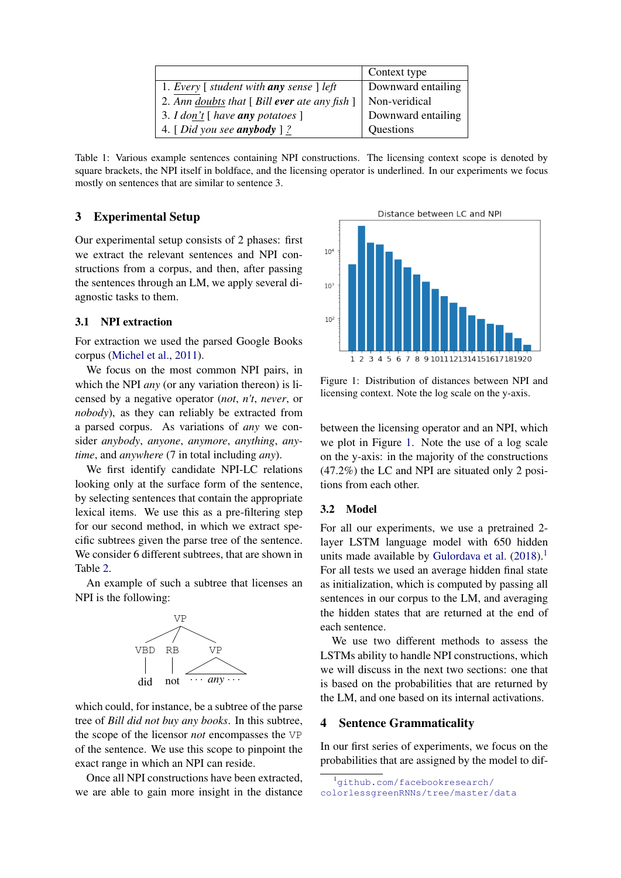|                                                             | Context type       |
|-------------------------------------------------------------|--------------------|
| 1. Every $\lceil$ student with any sense $\lceil$ left      | Downward entailing |
| 2. Ann doubts that $\lceil$ Bill ever ate any fish $\rceil$ | Non-veridical      |
| 3. I don't $\lceil$ have <b>any</b> potatoes $\rceil$       | Downward entailing |
| 4. [Did you see anybody ] $\frac{2}{3}$                     | Questions          |

<span id="page-2-2"></span>Table 1: Various example sentences containing NPI constructions. The licensing context scope is denoted by square brackets, the NPI itself in boldface, and the licensing operator is underlined. In our experiments we focus mostly on sentences that are similar to sentence 3.

# <span id="page-2-0"></span>3 Experimental Setup

Our experimental setup consists of 2 phases: first we extract the relevant sentences and NPI constructions from a corpus, and then, after passing the sentences through an LM, we apply several diagnostic tasks to them.

#### 3.1 NPI extraction

For extraction we used the parsed Google Books corpus [\(Michel et al.,](#page-9-4) [2011\)](#page-9-4).

We focus on the most common NPI pairs, in which the NPI *any* (or any variation thereon) is licensed by a negative operator (*not*, *n't*, *never*, or *nobody*), as they can reliably be extracted from a parsed corpus. As variations of *any* we consider *anybody*, *anyone*, *anymore*, *anything*, *anytime*, and *anywhere* (7 in total including *any*).

We first identify candidate NPI-LC relations looking only at the surface form of the sentence, by selecting sentences that contain the appropriate lexical items. We use this as a pre-filtering step for our second method, in which we extract specific subtrees given the parse tree of the sentence. We consider 6 different subtrees, that are shown in Table [2.](#page-3-0)

An example of such a subtree that licenses an NPI is the following:



which could, for instance, be a subtree of the parse tree of *Bill did not buy any books*. In this subtree, the scope of the licensor *not* encompasses the VP of the sentence. We use this scope to pinpoint the exact range in which an NPI can reside.

Once all NPI constructions have been extracted, we are able to gain more insight in the distance

Distance between LC and NPI  $10<sup>4</sup>$  $10<sup>2</sup>$  $10<sup>2</sup>$ 1 2 3 4 5 6 7 8 9 1011 1213 1415 1617 1819 20

<span id="page-2-3"></span>Figure 1: Distribution of distances between NPI and licensing context. Note the log scale on the y-axis.

between the licensing operator and an NPI, which we plot in Figure [1.](#page-2-3) Note the use of a log scale on the y-axis: in the majority of the constructions (47.2%) the LC and NPI are situated only 2 positions from each other.

## 3.2 Model

For all our experiments, we use a pretrained 2 layer LSTM language model with 650 hidden units made available by [Gulordava et al.](#page-8-1)  $(2018).<sup>1</sup>$  $(2018).<sup>1</sup>$  $(2018).<sup>1</sup>$  $(2018).<sup>1</sup>$ For all tests we used an average hidden final state as initialization, which is computed by passing all sentences in our corpus to the LM, and averaging the hidden states that are returned at the end of each sentence.

We use two different methods to assess the LSTMs ability to handle NPI constructions, which we will discuss in the next two sections: one that is based on the probabilities that are returned by the LM, and one based on its internal activations.

# <span id="page-2-1"></span>4 Sentence Grammaticality

In our first series of experiments, we focus on the probabilities that are assigned by the model to dif-

<span id="page-2-4"></span><sup>1</sup>[github.com/facebookresearch/](github.com/facebookresearch/colorlessgreenRNNs/tree/master/data) [colorlessgreenRNNs/tree/master/data](github.com/facebookresearch/colorlessgreenRNNs/tree/master/data)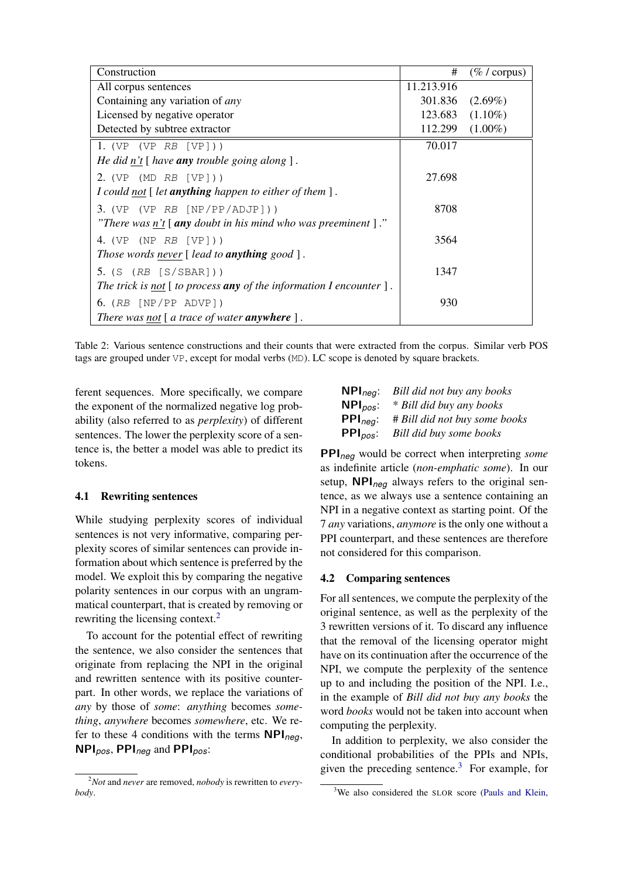| Construction                                                                        | #          | $(\% / \text{corpus})$ |
|-------------------------------------------------------------------------------------|------------|------------------------|
| All corpus sentences                                                                | 11.213.916 |                        |
| Containing any variation of <i>any</i>                                              | 301.836    | $(2.69\%)$             |
| Licensed by negative operator                                                       | 123.683    | $(1.10\%)$             |
| Detected by subtree extractor                                                       | 112.299    | $(1.00\%)$             |
| 1. (VP (VP $RB$ [VP]))                                                              | 70.017     |                        |
| He did $n't$ [ have <b>any</b> trouble going along ].                               |            |                        |
| 2. (VP (MD $RB$ [VP]))                                                              | 27.698     |                        |
| I could not $\lceil$ let <b>anything</b> happen to either of them $\rceil$ .        |            |                        |
| 3. (VP (VP $RB$ [NP/PP/ADJP]))                                                      | 8708       |                        |
| "There was n't $\lceil$ any doubt in his mind who was preeminent $\lceil$ ."        |            |                        |
| 4. (VP (NP $RB$ [VP]))                                                              | 3564       |                        |
| Those words never $[$ lead to <b>anything</b> good $].$                             |            |                        |
| $5.$ (S (RB [S/SBAR]))                                                              | 1347       |                        |
| The trick is not $[$ to process any of the information I encounter $]$ .            |            |                        |
| 6. $(RB [NP/PP ADVP])$                                                              | 930        |                        |
| There was not $\lceil a \rceil$ atrace of water <b>anywhere</b> $\lceil a \rceil$ . |            |                        |

<span id="page-3-0"></span>Table 2: Various sentence constructions and their counts that were extracted from the corpus. Similar verb POS tags are grouped under VP, except for modal verbs (MD). LC scope is denoted by square brackets.

ferent sequences. More specifically, we compare the exponent of the normalized negative log probability (also referred to as *perplexity*) of different sentences. The lower the perplexity score of a sentence is, the better a model was able to predict its tokens.

## 4.1 Rewriting sentences

While studying perplexity scores of individual sentences is not very informative, comparing perplexity scores of similar sentences can provide information about which sentence is preferred by the model. We exploit this by comparing the negative polarity sentences in our corpus with an ungrammatical counterpart, that is created by removing or rewriting the licensing context.<sup>[2](#page-3-1)</sup>

To account for the potential effect of rewriting the sentence, we also consider the sentences that originate from replacing the NPI in the original and rewritten sentence with its positive counterpart. In other words, we replace the variations of *any* by those of *some*: *anything* becomes *something*, *anywhere* becomes *somewhere*, etc. We refer to these 4 conditions with the terms NPI*neg*, NPI*pos*, PPI*neg* and PPI*pos*:

| $NPI_{neg}$ :                   | Bill did not buy any books    |
|---------------------------------|-------------------------------|
| $NPI_{pos}$ :                   | * Bill did buy any books      |
| $PPI_{neq}:$                    | # Bill did not buy some books |
| $\mathsf{PPI}_{\mathit{pos}}$ : | Bill did buy some books       |

PPI*neg* would be correct when interpreting *some* as indefinite article (*non-emphatic some*). In our setup, NPI*neg* always refers to the original sentence, as we always use a sentence containing an NPI in a negative context as starting point. Of the 7 *any* variations, *anymore* is the only one without a PPI counterpart, and these sentences are therefore not considered for this comparison.

#### 4.2 Comparing sentences

For all sentences, we compute the perplexity of the original sentence, as well as the perplexity of the 3 rewritten versions of it. To discard any influence that the removal of the licensing operator might have on its continuation after the occurrence of the NPI, we compute the perplexity of the sentence up to and including the position of the NPI. I.e., in the example of *Bill did not buy any books* the word *books* would not be taken into account when computing the perplexity.

In addition to perplexity, we also consider the conditional probabilities of the PPIs and NPIs, given the preceding sentence.<sup>[3](#page-3-2)</sup> For example, for

<span id="page-3-1"></span><sup>2</sup>*Not* and *never* are removed, *nobody* is rewritten to *everybody*.

<span id="page-3-2"></span><sup>&</sup>lt;sup>3</sup>We also considered the SLOR score [\(Pauls and Klein,](#page-9-5)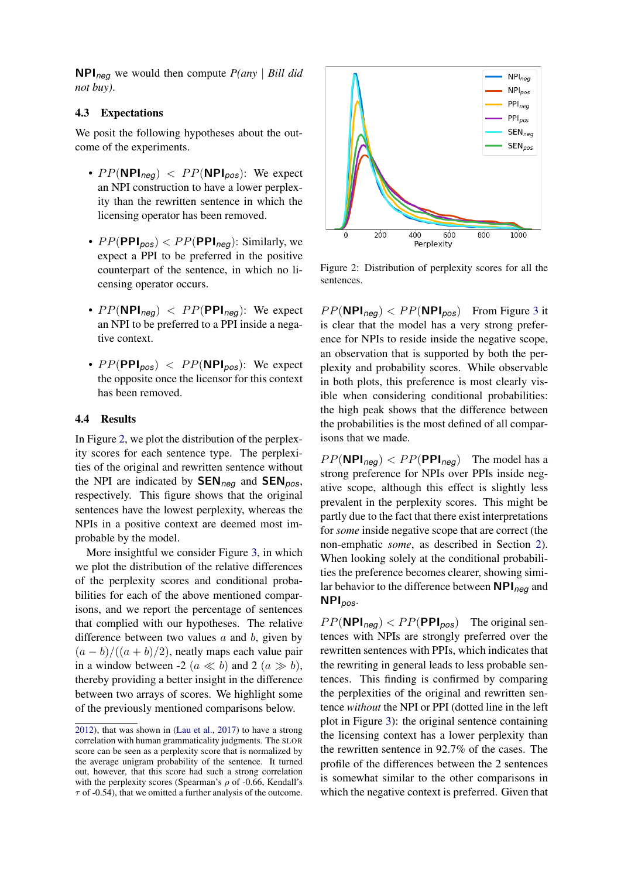NPI*neg* we would then compute *P(any* | *Bill did not buy)*.

## 4.3 Expectations

We posit the following hypotheses about the outcome of the experiments.

- $PP(NPI_{\text{neq}})$  <  $PP(NPI_{\text{pos}})$ : We expect an NPI construction to have a lower perplexity than the rewritten sentence in which the licensing operator has been removed.
- $PP(\text{PPI}_{pos}) < PP(\text{PPI}_{neg})$ : Similarly, we expect a PPI to be preferred in the positive counterpart of the sentence, in which no licensing operator occurs.
- $PP(NPI_{neq})$  <  $PP(PPI_{neq})$ : We expect an NPI to be preferred to a PPI inside a negative context.
- $PP(\text{PPI}_{pos})$  <  $PP(\text{NPI}_{pos})$ : We expect the opposite once the licensor for this context has been removed.

## 4.4 Results

In Figure [2,](#page-4-0) we plot the distribution of the perplexity scores for each sentence type. The perplexities of the original and rewritten sentence without the NPI are indicated by SEN*neg* and SEN*pos*, respectively. This figure shows that the original sentences have the lowest perplexity, whereas the NPIs in a positive context are deemed most improbable by the model.

More insightful we consider Figure [3,](#page-5-0) in which we plot the distribution of the relative differences of the perplexity scores and conditional probabilities for each of the above mentioned comparisons, and we report the percentage of sentences that complied with our hypotheses. The relative difference between two values  $a$  and  $b$ , given by  $(a - b)/((a + b)/2)$ , neatly maps each value pair in a window between -2 ( $a \ll b$ ) and 2 ( $a \gg b$ ), thereby providing a better insight in the difference between two arrays of scores. We highlight some of the previously mentioned comparisons below.



<span id="page-4-0"></span>Figure 2: Distribution of perplexity scores for all the sentences.

 $PP(NPI_{neg}) < PP(NPI_{pos})$  From Figure [3](#page-5-0) it is clear that the model has a very strong preference for NPIs to reside inside the negative scope, an observation that is supported by both the perplexity and probability scores. While observable in both plots, this preference is most clearly visible when considering conditional probabilities: the high peak shows that the difference between the probabilities is the most defined of all comparisons that we made.

 $PP(NPI_{neg}) < PP(PPI_{neg})$  The model has a strong preference for NPIs over PPIs inside negative scope, although this effect is slightly less prevalent in the perplexity scores. This might be partly due to the fact that there exist interpretations for *some* inside negative scope that are correct (the non-emphatic *some*, as described in Section [2\)](#page-1-0). When looking solely at the conditional probabilities the preference becomes clearer, showing similar behavior to the difference between NPI*neg* and NPI*pos*.

 $PP(NPI<sub>nea</sub>) < PP(PPI<sub>pos</sub>)$  The original sentences with NPIs are strongly preferred over the rewritten sentences with PPIs, which indicates that the rewriting in general leads to less probable sentences. This finding is confirmed by comparing the perplexities of the original and rewritten sentence *without* the NPI or PPI (dotted line in the left plot in Figure [3\)](#page-5-0): the original sentence containing the licensing context has a lower perplexity than the rewritten sentence in 92.7% of the cases. The profile of the differences between the 2 sentences is somewhat similar to the other comparisons in which the negative context is preferred. Given that

[<sup>2012\)</sup>](#page-9-5), that was shown in [\(Lau et al.,](#page-9-6) [2017\)](#page-9-6) to have a strong correlation with human grammaticality judgments. The SLOR score can be seen as a perplexity score that is normalized by the average unigram probability of the sentence. It turned out, however, that this score had such a strong correlation with the perplexity scores (Spearman's  $\rho$  of -0.66, Kendall's  $\tau$  of -0.54), that we omitted a further analysis of the outcome.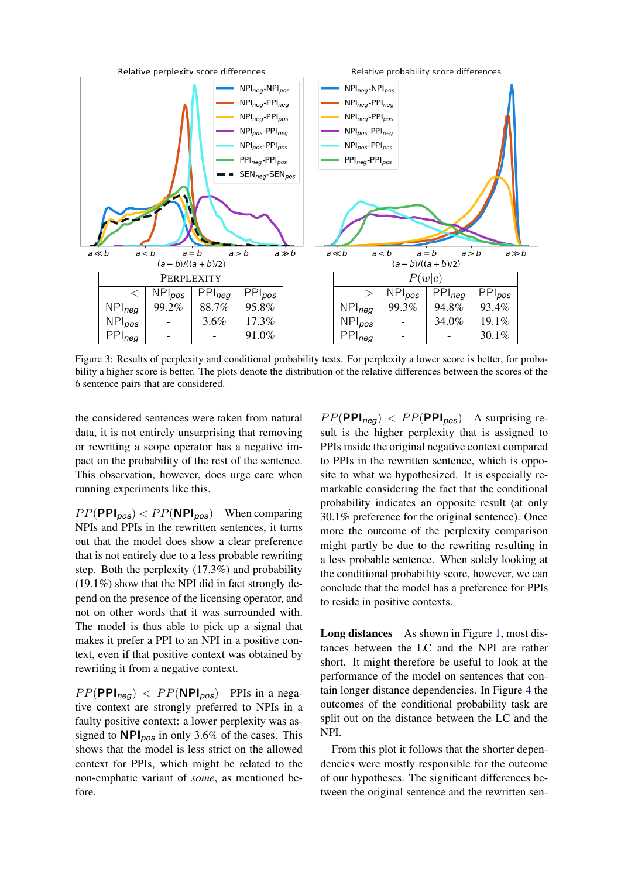

Figure 3: Results of perplexity and conditional probability tests. For perplexity a lower score is better, for probability a higher score is better. The plots denote the distribution of the relative differences between the scores of the 6 sentence pairs that are considered.

the considered sentences were taken from natural data, it is not entirely unsurprising that removing or rewriting a scope operator has a negative impact on the probability of the rest of the sentence. This observation, however, does urge care when running experiments like this.

 $PP(\text{PPI}_{\text{pos}}) < PP(\text{NPI}_{\text{pos}})$  When comparing NPIs and PPIs in the rewritten sentences, it turns out that the model does show a clear preference that is not entirely due to a less probable rewriting step. Both the perplexity (17.3%) and probability (19.1%) show that the NPI did in fact strongly depend on the presence of the licensing operator, and not on other words that it was surrounded with. The model is thus able to pick up a signal that makes it prefer a PPI to an NPI in a positive context, even if that positive context was obtained by rewriting it from a negative context.

 $PP(PPI_{\text{neq}})$  <  $PP(NPI_{\text{pos}})$  PPIs in a negative context are strongly preferred to NPIs in a faulty positive context: a lower perplexity was assigned to NPI*pos* in only 3.6% of the cases. This shows that the model is less strict on the allowed context for PPIs, which might be related to the non-emphatic variant of *some*, as mentioned before.

<span id="page-5-0"></span> $PP(\text{PPI}_{\text{neg}}) < PP(\text{PPI}_{\text{pos}})$  A surprising result is the higher perplexity that is assigned to PPIs inside the original negative context compared to PPIs in the rewritten sentence, which is opposite to what we hypothesized. It is especially remarkable considering the fact that the conditional probability indicates an opposite result (at only 30.1% preference for the original sentence). Once more the outcome of the perplexity comparison might partly be due to the rewriting resulting in a less probable sentence. When solely looking at the conditional probability score, however, we can conclude that the model has a preference for PPIs to reside in positive contexts.

Long distances As shown in Figure [1,](#page-2-3) most distances between the LC and the NPI are rather short. It might therefore be useful to look at the performance of the model on sentences that contain longer distance dependencies. In Figure [4](#page-6-1) the outcomes of the conditional probability task are split out on the distance between the LC and the NPI.

From this plot it follows that the shorter dependencies were mostly responsible for the outcome of our hypotheses. The significant differences between the original sentence and the rewritten sen-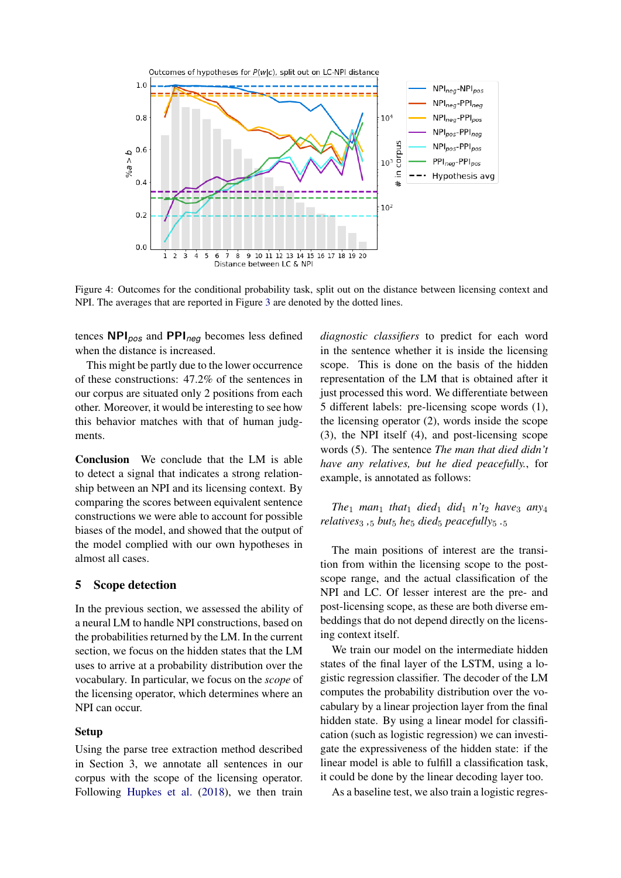

<span id="page-6-1"></span>Figure 4: Outcomes for the conditional probability task, split out on the distance between licensing context and NPI. The averages that are reported in Figure [3](#page-5-0) are denoted by the dotted lines.

tences NPI*pos* and PPI*neg* becomes less defined when the distance is increased.

This might be partly due to the lower occurrence of these constructions: 47.2% of the sentences in our corpus are situated only 2 positions from each other. Moreover, it would be interesting to see how this behavior matches with that of human judgments.

Conclusion We conclude that the LM is able to detect a signal that indicates a strong relationship between an NPI and its licensing context. By comparing the scores between equivalent sentence constructions we were able to account for possible biases of the model, and showed that the output of the model complied with our own hypotheses in almost all cases.

#### <span id="page-6-0"></span>5 Scope detection

In the previous section, we assessed the ability of a neural LM to handle NPI constructions, based on the probabilities returned by the LM. In the current section, we focus on the hidden states that the LM uses to arrive at a probability distribution over the vocabulary. In particular, we focus on the *scope* of the licensing operator, which determines where an NPI can occur.

#### Setup

Using the parse tree extraction method described in Section 3, we annotate all sentences in our corpus with the scope of the licensing operator. Following [Hupkes et al.](#page-8-2) [\(2018\)](#page-8-2), we then train

*diagnostic classifiers* to predict for each word in the sentence whether it is inside the licensing scope. This is done on the basis of the hidden representation of the LM that is obtained after it just processed this word. We differentiate between 5 different labels: pre-licensing scope words (1), the licensing operator (2), words inside the scope (3), the NPI itself (4), and post-licensing scope words (5). The sentence *The man that died didn't have any relatives, but he died peacefully.*, for example, is annotated as follows:

*The*<sub>1</sub> *man*<sub>1</sub> *that*<sub>1</sub> *died*<sub>1</sub> *did*<sub>1</sub> *n't*<sub>2</sub> *have*<sub>3</sub> *any*<sub>4</sub> *relatives*<sup>3</sup> *,*<sup>5</sup> *but*<sup>5</sup> *he*<sup>5</sup> *died*<sup>5</sup> *peacefully*<sup>5</sup> *.*<sup>5</sup>

The main positions of interest are the transition from within the licensing scope to the postscope range, and the actual classification of the NPI and LC. Of lesser interest are the pre- and post-licensing scope, as these are both diverse embeddings that do not depend directly on the licensing context itself.

We train our model on the intermediate hidden states of the final layer of the LSTM, using a logistic regression classifier. The decoder of the LM computes the probability distribution over the vocabulary by a linear projection layer from the final hidden state. By using a linear model for classification (such as logistic regression) we can investigate the expressiveness of the hidden state: if the linear model is able to fulfill a classification task, it could be done by the linear decoding layer too.

As a baseline test, we also train a logistic regres-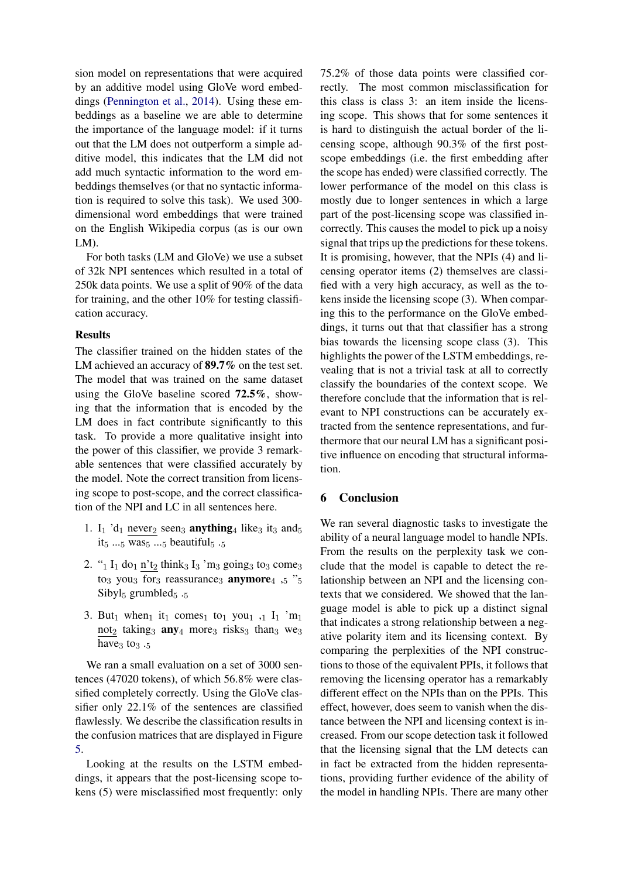sion model on representations that were acquired by an additive model using GloVe word embeddings [\(Pennington et al.,](#page-9-7) [2014\)](#page-9-7). Using these embeddings as a baseline we are able to determine the importance of the language model: if it turns out that the LM does not outperform a simple additive model, this indicates that the LM did not add much syntactic information to the word embeddings themselves (or that no syntactic information is required to solve this task). We used 300 dimensional word embeddings that were trained on the English Wikipedia corpus (as is our own LM).

For both tasks (LM and GloVe) we use a subset of 32k NPI sentences which resulted in a total of 250k data points. We use a split of 90% of the data for training, and the other 10% for testing classification accuracy.

### Results

The classifier trained on the hidden states of the LM achieved an accuracy of **89.7%** on the test set. The model that was trained on the same dataset using the GloVe baseline scored 72.5%, showing that the information that is encoded by the LM does in fact contribute significantly to this task. To provide a more qualitative insight into the power of this classifier, we provide 3 remarkable sentences that were classified accurately by the model. Note the correct transition from licensing scope to post-scope, and the correct classification of the NPI and LC in all sentences here.

- 1. I<sub>1</sub> 'd<sub>1</sub> never<sub>2</sub> seen<sub>3</sub> **anything**<sub>4</sub> like<sub>3</sub> it<sub>3</sub> and<sub>5</sub> it<sub>5</sub> ...<sub>5</sub> was<sub>5</sub> ...<sub>5</sub> beautiful<sub>5</sub> ...5
- 2. " $_1$  I<sub>1</sub> do<sub>1</sub> n't<sub>2</sub> think<sub>3</sub> I<sub>3</sub> 'm<sub>3</sub> going<sub>3</sub> to<sub>3</sub> come<sub>3</sub> to<sub>3</sub> you<sub>3</sub> for<sub>3</sub> reassurance<sub>3</sub> **anymore**<sub>4</sub>  $,5$  " $,5$ Sibyl $_5$  grumbled $_5$ .
- 3. But<sub>1</sub> when<sub>1</sub> it<sub>1</sub> comes<sub>1</sub> to<sub>1</sub> you<sub>1</sub> ,<sub>1</sub> I<sub>1</sub> 'm<sub>1</sub>  $\frac{\text{not}_2}{\text{ataking}_3}$  any<sub>4</sub> more<sub>3</sub> risks<sub>3</sub> than<sub>3</sub> we<sub>3</sub> have $_3$  to<sub>3</sub>  $.5$

We ran a small evaluation on a set of 3000 sentences (47020 tokens), of which 56.8% were classified completely correctly. Using the GloVe classifier only 22.1% of the sentences are classified flawlessly. We describe the classification results in the confusion matrices that are displayed in Figure [5.](#page-8-8)

Looking at the results on the LSTM embeddings, it appears that the post-licensing scope tokens (5) were misclassified most frequently: only 75.2% of those data points were classified correctly. The most common misclassification for this class is class 3: an item inside the licensing scope. This shows that for some sentences it is hard to distinguish the actual border of the licensing scope, although 90.3% of the first postscope embeddings (i.e. the first embedding after the scope has ended) were classified correctly. The lower performance of the model on this class is mostly due to longer sentences in which a large part of the post-licensing scope was classified incorrectly. This causes the model to pick up a noisy signal that trips up the predictions for these tokens. It is promising, however, that the NPIs (4) and licensing operator items (2) themselves are classified with a very high accuracy, as well as the tokens inside the licensing scope (3). When comparing this to the performance on the GloVe embeddings, it turns out that that classifier has a strong bias towards the licensing scope class (3). This highlights the power of the LSTM embeddings, revealing that is not a trivial task at all to correctly classify the boundaries of the context scope. We therefore conclude that the information that is relevant to NPI constructions can be accurately extracted from the sentence representations, and furthermore that our neural LM has a significant positive influence on encoding that structural information.

# <span id="page-7-0"></span>6 Conclusion

We ran several diagnostic tasks to investigate the ability of a neural language model to handle NPIs. From the results on the perplexity task we conclude that the model is capable to detect the relationship between an NPI and the licensing contexts that we considered. We showed that the language model is able to pick up a distinct signal that indicates a strong relationship between a negative polarity item and its licensing context. By comparing the perplexities of the NPI constructions to those of the equivalent PPIs, it follows that removing the licensing operator has a remarkably different effect on the NPIs than on the PPIs. This effect, however, does seem to vanish when the distance between the NPI and licensing context is increased. From our scope detection task it followed that the licensing signal that the LM detects can in fact be extracted from the hidden representations, providing further evidence of the ability of the model in handling NPIs. There are many other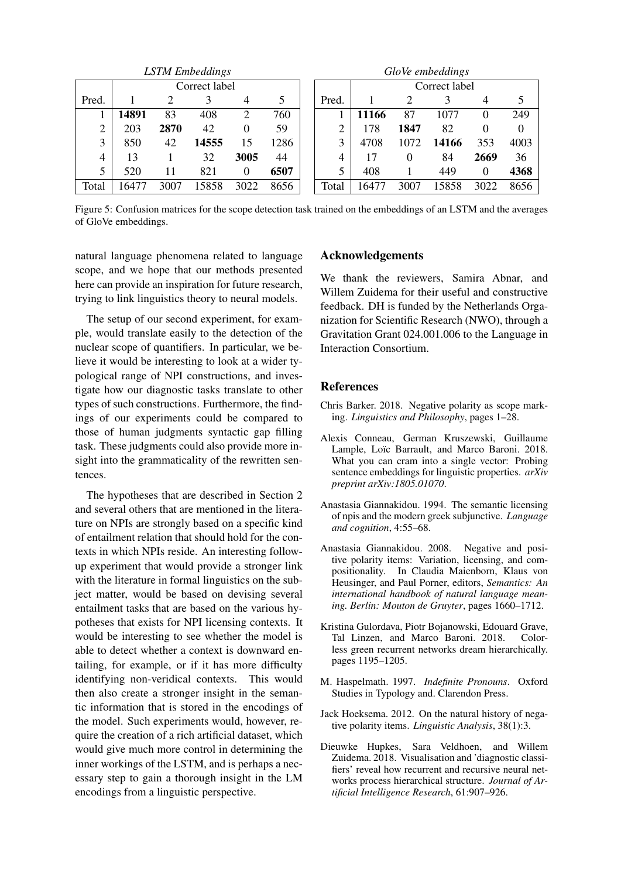| <b>LSTM</b> Embeddings |               |      |       | GloVe embeddings |      |       |               |          |       |          |                |
|------------------------|---------------|------|-------|------------------|------|-------|---------------|----------|-------|----------|----------------|
|                        | Correct label |      |       |                  |      |       | Correct label |          |       |          |                |
| Pred.                  |               | 2    | 3     | 4                | 5    | Pred. |               | 2        | 3     | 4        | $\mathfrak{S}$ |
|                        | 14891         | 83   | 408   | 2                | 760  |       | 11166         | 87       | 1077  | 0        | 249            |
| ◠                      | 203           | 2870 | 42    | 0                | 59   | ◠     | 178           | 1847     | 82    | 0        | $\theta$       |
| 3                      | 850           | 42   | 14555 | 15               | 1286 | 3     | 4708          | 1072     | 14166 | 353      | 4003           |
| 4                      | 13            |      | 32    | 3005             | 44   | 4     | 17            | $\theta$ | 84    | 2669     | 36             |
| 5                      | 520           | 11   | 821   | 0                | 6507 |       | 408           |          | 449   | $\theta$ | 4368           |
| Total                  | 6477          | 3007 | 5858  | 3022             | 8656 | Total | 16477         | 3007     | 15858 | 3022     | 8656           |

Figure 5: Confusion matrices for the scope detection task trained on the embeddings of an LSTM and the averages of GloVe embeddings.

natural language phenomena related to language scope, and we hope that our methods presented here can provide an inspiration for future research, trying to link linguistics theory to neural models.

The setup of our second experiment, for example, would translate easily to the detection of the nuclear scope of quantifiers. In particular, we believe it would be interesting to look at a wider typological range of NPI constructions, and investigate how our diagnostic tasks translate to other types of such constructions. Furthermore, the findings of our experiments could be compared to those of human judgments syntactic gap filling task. These judgments could also provide more insight into the grammaticality of the rewritten sentences.

The hypotheses that are described in Section 2 and several others that are mentioned in the literature on NPIs are strongly based on a specific kind of entailment relation that should hold for the contexts in which NPIs reside. An interesting followup experiment that would provide a stronger link with the literature in formal linguistics on the subject matter, would be based on devising several entailment tasks that are based on the various hypotheses that exists for NPI licensing contexts. It would be interesting to see whether the model is able to detect whether a context is downward entailing, for example, or if it has more difficulty identifying non-veridical contexts. This would then also create a stronger insight in the semantic information that is stored in the encodings of the model. Such experiments would, however, require the creation of a rich artificial dataset, which would give much more control in determining the inner workings of the LSTM, and is perhaps a necessary step to gain a thorough insight in the LM encodings from a linguistic perspective.

## <span id="page-8-8"></span>Acknowledgements

We thank the reviewers, Samira Abnar, and Willem Zuidema for their useful and constructive feedback. DH is funded by the Netherlands Organization for Scientific Research (NWO), through a Gravitation Grant 024.001.006 to the Language in Interaction Consortium.

#### **References**

- <span id="page-8-4"></span>Chris Barker. 2018. Negative polarity as scope marking. *Linguistics and Philosophy*, pages 1–28.
- <span id="page-8-0"></span>Alexis Conneau, German Kruszewski, Guillaume Lample, Loïc Barrault, and Marco Baroni. 2018. What you can cram into a single vector: Probing sentence embeddings for linguistic properties. *arXiv preprint arXiv:1805.01070*.
- <span id="page-8-7"></span>Anastasia Giannakidou. 1994. The semantic licensing of npis and the modern greek subjunctive. *Language and cognition*, 4:55–68.
- <span id="page-8-5"></span>Anastasia Giannakidou. 2008. Negative and positive polarity items: Variation, licensing, and compositionality. In Claudia Maienborn, Klaus von Heusinger, and Paul Porner, editors, *Semantics: An international handbook of natural language meaning. Berlin: Mouton de Gruyter*, pages 1660–1712.
- <span id="page-8-1"></span>Kristina Gulordava, Piotr Bojanowski, Edouard Grave, Tal Linzen, and Marco Baroni. 2018. Colorless green recurrent networks dream hierarchically. pages 1195–1205.
- <span id="page-8-3"></span>M. Haspelmath. 1997. *Indefinite Pronouns*. Oxford Studies in Typology and. Clarendon Press.
- <span id="page-8-6"></span>Jack Hoeksema. 2012. On the natural history of negative polarity items. *Linguistic Analysis*, 38(1):3.
- <span id="page-8-2"></span>Dieuwke Hupkes, Sara Veldhoen, and Willem Zuidema. 2018. Visualisation and 'diagnostic classifiers' reveal how recurrent and recursive neural networks process hierarchical structure. *Journal of Artificial Intelligence Research*, 61:907–926.